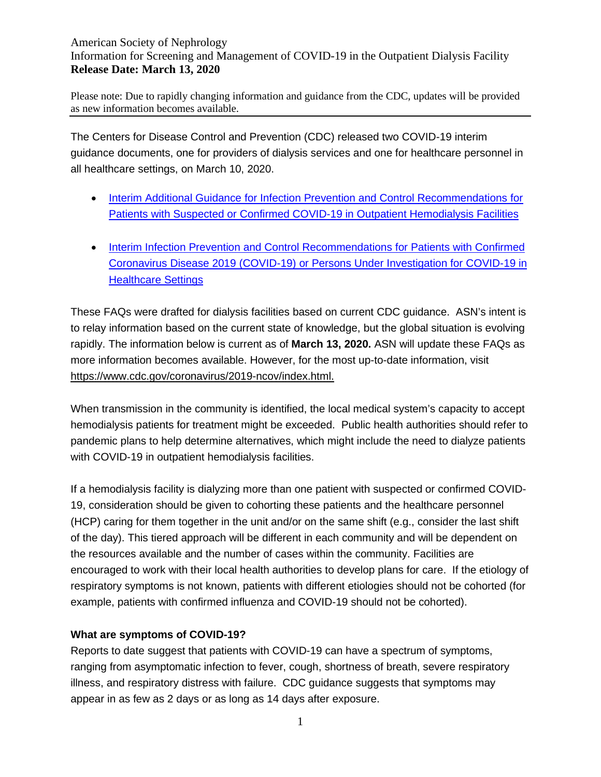Please note: Due to rapidly changing information and guidance from the CDC, updates will be provided as new information becomes available.

The Centers for Disease Control and Prevention (CDC) released two COVID-19 interim guidance documents, one for providers of dialysis services and one for healthcare personnel in all healthcare settings, on March 10, 2020.

- [Interim Additional Guidance for Infection Prevention and Control Recommendations for](https://www.cdc.gov/coronavirus/2019-ncov/healthcare-facilities/dialysis.html)  [Patients with Suspected or Confirmed COVID-19 in Outpatient Hemodialysis Facilities](https://www.cdc.gov/coronavirus/2019-ncov/healthcare-facilities/dialysis.html)
- [Interim Infection Prevention and Control Recommendations for Patients with Confirmed](https://www.cdc.gov/coronavirus/2019-ncov/infection-control/control-recommendations.html?CDC_AA_refVal=https%3A%2F%2Fwww.cdc.gov%2Fcoronavirus%2F2019-ncov%2Fhcp%2Finfection-control.html)  [Coronavirus Disease 2019 \(COVID-19\) or Persons Under Investigation for COVID-19 in](https://www.cdc.gov/coronavirus/2019-ncov/infection-control/control-recommendations.html?CDC_AA_refVal=https%3A%2F%2Fwww.cdc.gov%2Fcoronavirus%2F2019-ncov%2Fhcp%2Finfection-control.html)  [Healthcare Settings](https://www.cdc.gov/coronavirus/2019-ncov/infection-control/control-recommendations.html?CDC_AA_refVal=https%3A%2F%2Fwww.cdc.gov%2Fcoronavirus%2F2019-ncov%2Fhcp%2Finfection-control.html)

These FAQs were drafted for dialysis facilities based on current CDC guidance. ASN's intent is to relay information based on the current state of knowledge, but the global situation is evolving rapidly. The information below is current as of **March 13, 2020.** ASN will update these FAQs as more information becomes available. However, for the most up-to-date information, visit [https://www.cdc.gov/coronavirus/2019-ncov/index.html.](https://www.cdc.gov/coronavirus/2019-ncov/index.html)

When transmission in the community is identified, the local medical system's capacity to accept hemodialysis patients for treatment might be exceeded. Public health authorities should refer to pandemic plans to help determine alternatives, which might include the need to dialyze patients with COVID-19 in outpatient hemodialysis facilities.

If a hemodialysis facility is dialyzing more than one patient with suspected or confirmed COVID-19, consideration should be given to cohorting these patients and the healthcare personnel (HCP) caring for them together in the unit and/or on the same shift (e.g., consider the last shift of the day). This tiered approach will be different in each community and will be dependent on the resources available and the number of cases within the community. Facilities are encouraged to work with their local health authorities to develop plans for care. If the etiology of respiratory symptoms is not known, patients with different etiologies should not be cohorted (for example, patients with confirmed influenza and COVID-19 should not be cohorted).

# **What are symptoms of COVID-19?**

Reports to date suggest that patients with COVID-19 can have a spectrum of symptoms, ranging from asymptomatic infection to fever, cough, shortness of breath, severe respiratory illness, and respiratory distress with failure. CDC guidance suggests that symptoms may appear in as few as 2 days or as long as 14 days after exposure.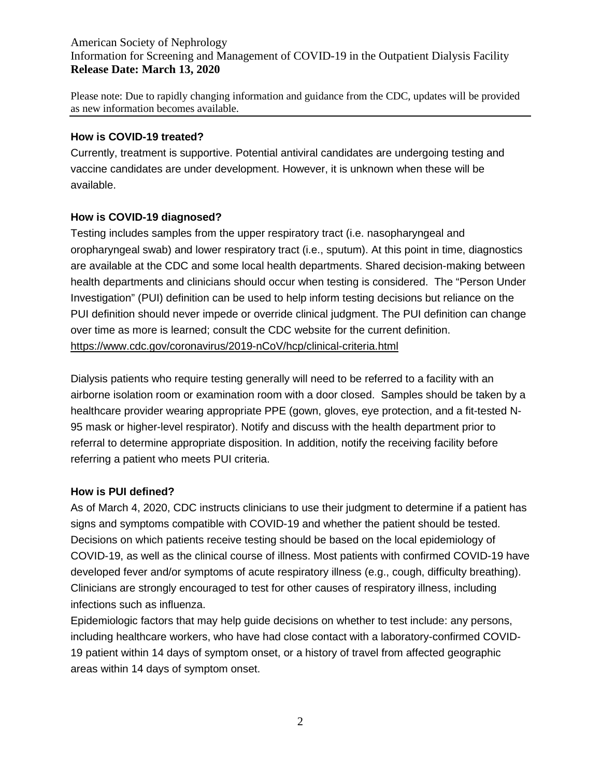Please note: Due to rapidly changing information and guidance from the CDC, updates will be provided as new information becomes available.

#### **How is COVID-19 treated?**

Currently, treatment is supportive. Potential antiviral candidates are undergoing testing and vaccine candidates are under development. However, it is unknown when these will be available.

# **How is COVID-19 diagnosed?**

Testing includes samples from the upper respiratory tract (i.e. nasopharyngeal and oropharyngeal swab) and lower respiratory tract (i.e., sputum). At this point in time, diagnostics are available at the CDC and some local health departments. Shared decision-making between health departments and clinicians should occur when testing is considered. The "Person Under Investigation" (PUI) definition can be used to help inform testing decisions but reliance on the PUI definition should never impede or override clinical judgment. The PUI definition can change over time as more is learned; consult the CDC website for the current definition. <https://www.cdc.gov/coronavirus/2019-nCoV/hcp/clinical-criteria.html>

Dialysis patients who require testing generally will need to be referred to a facility with an airborne isolation room or examination room with a door closed. Samples should be taken by a healthcare provider wearing appropriate PPE (gown, gloves, eye protection, and a fit-tested N-95 mask or higher-level respirator). Notify and discuss with the health department prior to referral to determine appropriate disposition. In addition, notify the receiving facility before referring a patient who meets PUI criteria.

# **How is PUI defined?**

As of March 4, 2020, CDC instructs clinicians to use their judgment to determine if a patient has signs and symptoms compatible with COVID-19 and whether the patient should be tested. Decisions on which patients receive testing should be based on the local epidemiology of COVID-19, as well as the clinical course of illness. Most patients with confirmed COVID-19 have developed fever and/or symptoms of acute respiratory illness (e.g., cough, difficulty breathing). Clinicians are strongly encouraged to test for other causes of respiratory illness, including infections such as influenza.

Epidemiologic factors that may help guide decisions on whether to test include: any persons, including healthcare workers, who have had close contact with a laboratory-confirmed COVID-19 patient within 14 days of symptom onset, or a history of travel from affected geographic areas within 14 days of symptom onset.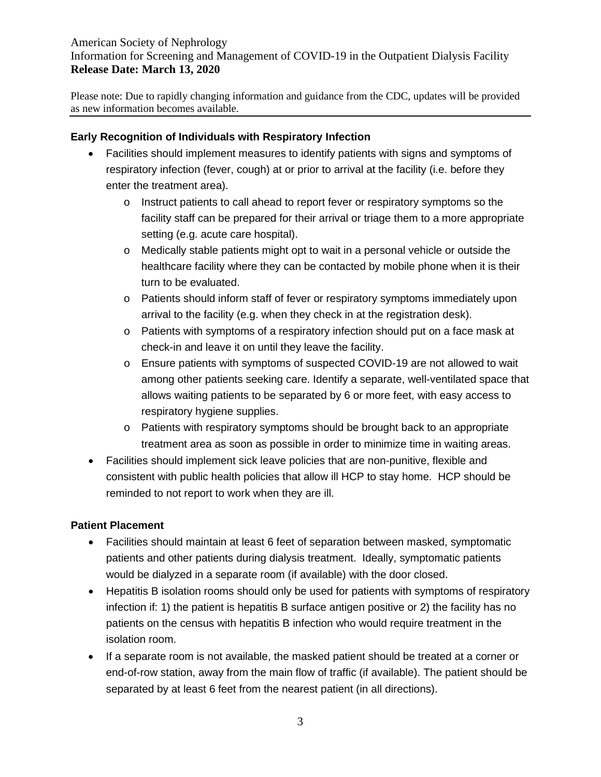Please note: Due to rapidly changing information and guidance from the CDC, updates will be provided as new information becomes available.

#### **Early Recognition of Individuals with Respiratory Infection**

- Facilities should implement measures to identify patients with signs and symptoms of respiratory infection (fever, cough) at or prior to arrival at the facility (i.e. before they enter the treatment area).
	- $\circ$  Instruct patients to call ahead to report fever or respiratory symptoms so the facility staff can be prepared for their arrival or triage them to a more appropriate setting (e.g. acute care hospital).
	- o Medically stable patients might opt to wait in a personal vehicle or outside the healthcare facility where they can be contacted by mobile phone when it is their turn to be evaluated.
	- o Patients should inform staff of fever or respiratory symptoms immediately upon arrival to the facility (e.g. when they check in at the registration desk).
	- o Patients with symptoms of a respiratory infection should put on a face mask at check-in and leave it on until they leave the facility.
	- o Ensure patients with symptoms of suspected COVID-19 are not allowed to wait among other patients seeking care. Identify a separate, well-ventilated space that allows waiting patients to be separated by 6 or more feet, with easy access to respiratory hygiene supplies.
	- o Patients with respiratory symptoms should be brought back to an appropriate treatment area as soon as possible in order to minimize time in waiting areas.
- Facilities should implement sick leave policies that are non-punitive, flexible and consistent with public health policies that allow ill HCP to stay home. HCP should be reminded to not report to work when they are ill.

#### **Patient Placement**

- Facilities should maintain at least 6 feet of separation between masked, symptomatic patients and other patients during dialysis treatment. Ideally, symptomatic patients would be dialyzed in a separate room (if available) with the door closed.
- Hepatitis B isolation rooms should only be used for patients with symptoms of respiratory infection if: 1) the patient is hepatitis B surface antigen positive or 2) the facility has no patients on the census with hepatitis B infection who would require treatment in the isolation room.
- If a separate room is not available, the masked patient should be treated at a corner or end-of-row station, away from the main flow of traffic (if available). The patient should be separated by at least 6 feet from the nearest patient (in all directions).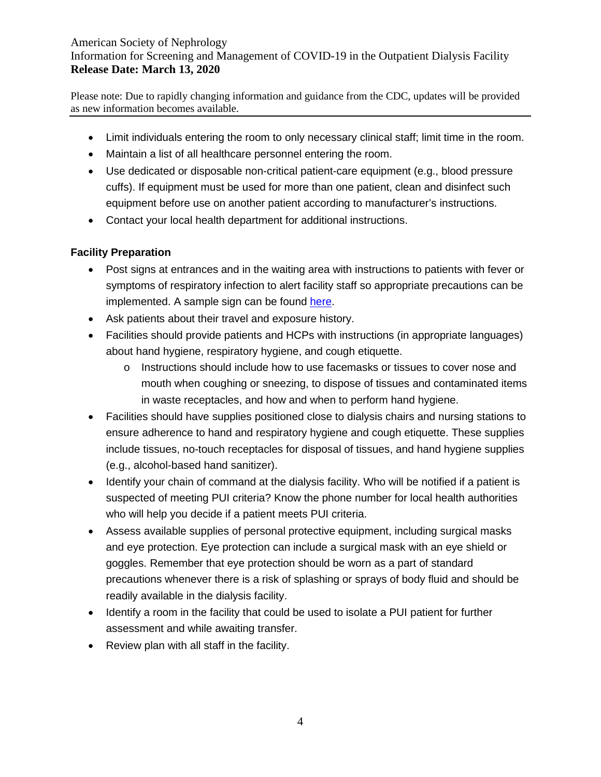Please note: Due to rapidly changing information and guidance from the CDC, updates will be provided as new information becomes available.

- Limit individuals entering the room to only necessary clinical staff; limit time in the room.
- Maintain a list of all healthcare personnel entering the room.
- Use dedicated or disposable non-critical patient-care equipment (e.g., blood pressure cuffs). If equipment must be used for more than one patient, clean and disinfect such equipment before use on another patient according to manufacturer's instructions.
- Contact your local health department for additional instructions.

# **Facility Preparation**

- Post signs at entrances and in the waiting area with instructions to patients with fever or symptoms of respiratory infection to alert facility staff so appropriate precautions can be implemented. A sample sign can be found [here.](https://www.asn-online.org/g/blast/files/Coronavirus%20poster%2002.28.2020%20R.pdf)
- Ask patients about their travel and exposure history.
- Facilities should provide patients and HCPs with instructions (in appropriate languages) about hand hygiene, respiratory hygiene, and cough etiquette.
	- o Instructions should include how to use facemasks or tissues to cover nose and mouth when coughing or sneezing, to dispose of tissues and contaminated items in waste receptacles, and how and when to perform hand hygiene.
- Facilities should have supplies positioned close to dialysis chairs and nursing stations to ensure adherence to hand and respiratory hygiene and cough etiquette. These supplies include tissues, no-touch receptacles for disposal of tissues, and hand hygiene supplies (e.g., alcohol-based hand sanitizer).
- Identify your chain of command at the dialysis facility. Who will be notified if a patient is suspected of meeting PUI criteria? Know the phone number for local health authorities who will help you decide if a patient meets PUI criteria.
- Assess available supplies of personal protective equipment, including surgical masks and eye protection. Eye protection can include a surgical mask with an eye shield or goggles. Remember that eye protection should be worn as a part of standard precautions whenever there is a risk of splashing or sprays of body fluid and should be readily available in the dialysis facility.
- Identify a room in the facility that could be used to isolate a PUI patient for further assessment and while awaiting transfer.
- Review plan with all staff in the facility.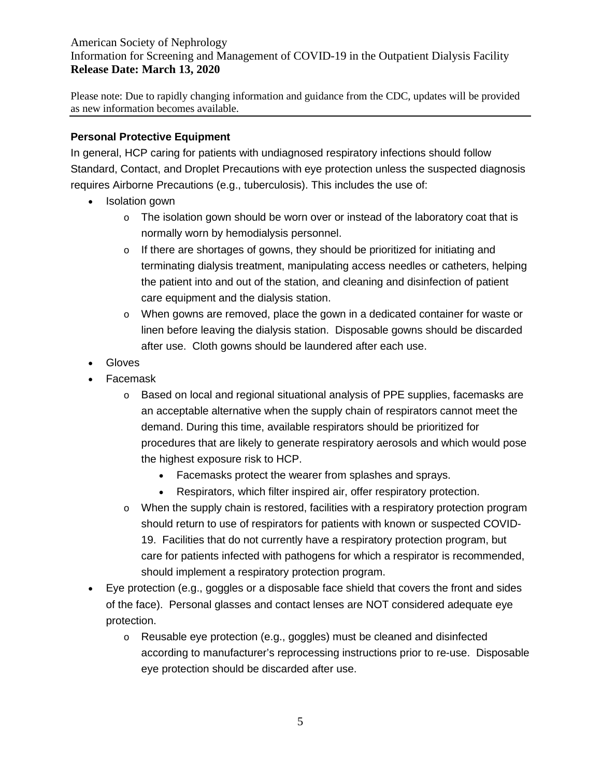Please note: Due to rapidly changing information and guidance from the CDC, updates will be provided as new information becomes available.

## **Personal Protective Equipment**

In general, HCP caring for patients with undiagnosed respiratory infections should follow Standard, Contact, and Droplet Precautions with eye protection unless the suspected diagnosis requires Airborne Precautions (e.g., tuberculosis). This includes the use of:

- Isolation gown
	- $\circ$  The isolation gown should be worn over or instead of the laboratory coat that is normally worn by hemodialysis personnel.
	- o If there are shortages of gowns, they should be prioritized for initiating and terminating dialysis treatment, manipulating access needles or catheters, helping the patient into and out of the station, and cleaning and disinfection of patient care equipment and the dialysis station.
	- o When gowns are removed, place the gown in a dedicated container for waste or linen before leaving the dialysis station. Disposable gowns should be discarded after use. Cloth gowns should be laundered after each use.
- Gloves
- Facemask
	- o Based on local and regional situational analysis of PPE supplies, facemasks are an acceptable alternative when the supply chain of respirators cannot meet the demand. During this time, available respirators should be prioritized for procedures that are likely to generate respiratory aerosols and which would pose the highest exposure risk to HCP.
		- Facemasks protect the wearer from splashes and sprays.
		- Respirators, which filter inspired air, offer respiratory protection.
	- o When the supply chain is restored, facilities with a respiratory protection program should return to use of respirators for patients with known or suspected COVID-19. Facilities that do not currently have a respiratory protection program, but care for patients infected with pathogens for which a respirator is recommended, should implement a respiratory protection program.
- Eye protection (e.g., goggles or a disposable face shield that covers the front and sides of the face). Personal glasses and contact lenses are NOT considered adequate eye protection.
	- o Reusable eye protection (e.g., goggles) must be cleaned and disinfected according to manufacturer's reprocessing instructions prior to re-use. Disposable eye protection should be discarded after use.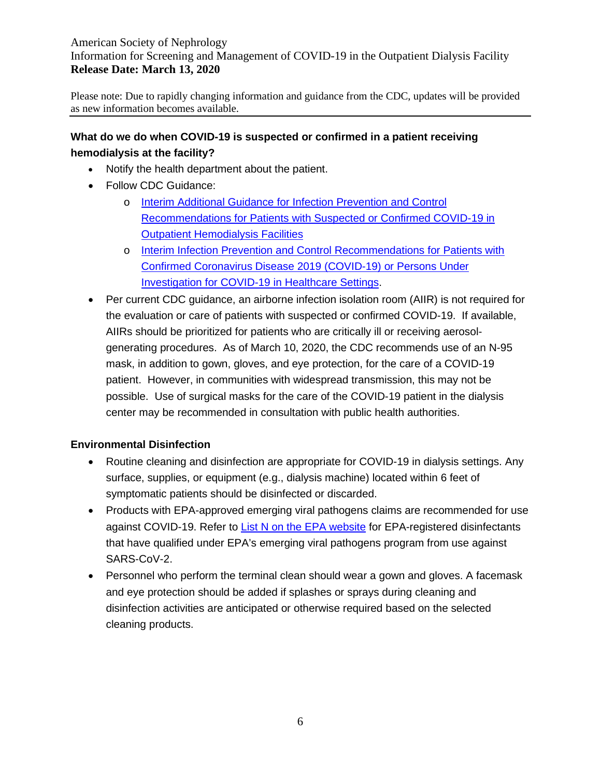Please note: Due to rapidly changing information and guidance from the CDC, updates will be provided as new information becomes available.

# **What do we do when COVID-19 is suspected or confirmed in a patient receiving hemodialysis at the facility?**

- Notify the health department about the patient.
- Follow CDC Guidance:
	- o [Interim Additional Guidance for Infection Prevention and Control](https://www.cdc.gov/coronavirus/2019-ncov/healthcare-facilities/dialysis.html)  [Recommendations for Patients with Suspected or Confirmed COVID-19 in](https://www.cdc.gov/coronavirus/2019-ncov/healthcare-facilities/dialysis.html)  [Outpatient Hemodialysis Facilities](https://www.cdc.gov/coronavirus/2019-ncov/healthcare-facilities/dialysis.html)
	- o [Interim Infection Prevention and Control Recommendations for Patients with](https://www.cdc.gov/coronavirus/2019-ncov/infection-control/control-recommendations.html?CDC_AA_refVal=https%3A%2F%2Fwww.cdc.gov%2Fcoronavirus%2F2019-ncov%2Fhcp%2Finfection-control.html)  [Confirmed Coronavirus Disease 2019 \(COVID-19\) or Persons Under](https://www.cdc.gov/coronavirus/2019-ncov/infection-control/control-recommendations.html?CDC_AA_refVal=https%3A%2F%2Fwww.cdc.gov%2Fcoronavirus%2F2019-ncov%2Fhcp%2Finfection-control.html)  [Investigation for COVID-19 in Healthcare Settings.](https://www.cdc.gov/coronavirus/2019-ncov/infection-control/control-recommendations.html?CDC_AA_refVal=https%3A%2F%2Fwww.cdc.gov%2Fcoronavirus%2F2019-ncov%2Fhcp%2Finfection-control.html)
- Per current CDC guidance, an airborne infection isolation room (AIIR) is not required for the evaluation or care of patients with suspected or confirmed COVID-19. If available, AIIRs should be prioritized for patients who are critically ill or receiving aerosolgenerating procedures. As of March 10, 2020, the CDC recommends use of an N-95 mask, in addition to gown, gloves, and eye protection, for the care of a COVID-19 patient. However, in communities with widespread transmission, this may not be possible. Use of surgical masks for the care of the COVID-19 patient in the dialysis center may be recommended in consultation with public health authorities.

# **Environmental Disinfection**

- Routine cleaning and disinfection are appropriate for COVID-19 in dialysis settings. Any surface, supplies, or equipment (e.g., dialysis machine) located within 6 feet of symptomatic patients should be disinfected or discarded.
- Products with EPA-approved emerging viral pathogens claims are recommended for use against COVID-19. Refer to [List N on the EPA website](https://www.epa.gov/pesticide-registration/list-n-disinfectants-use-against-sars-cov-2) for EPA-registered disinfectants that have qualified under EPA's emerging viral pathogens program from use against SARS-CoV-2.
- Personnel who perform the terminal clean should wear a gown and gloves. A facemask and eye protection should be added if splashes or sprays during cleaning and disinfection activities are anticipated or otherwise required based on the selected cleaning products.